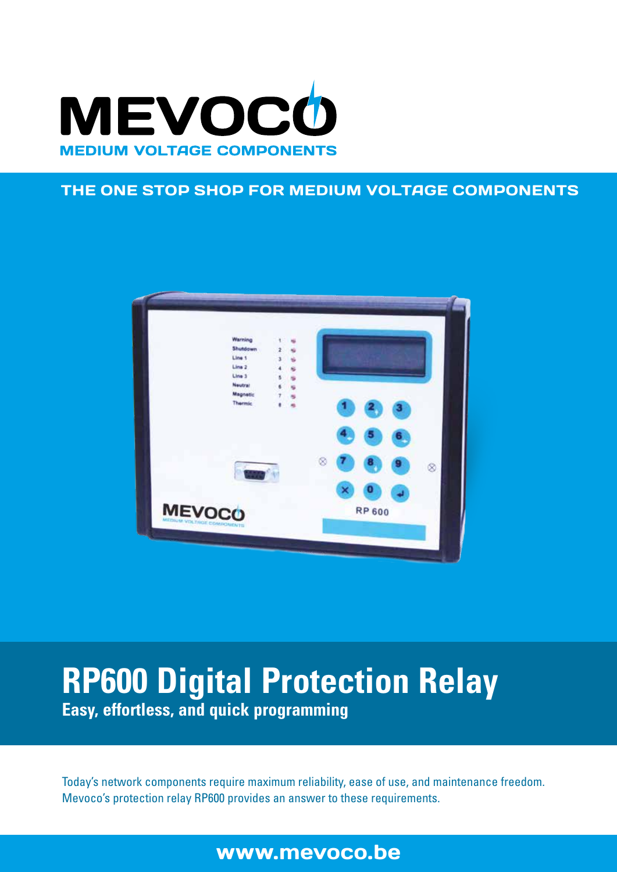

### THE ONE STOP SHOP FOR MEDIUM VOLTAGE COMPONENTS



# **RP600 Digital Protection Relay Easy, effortless, and quick programming**

Today's network components require maximum reliability, ease of use, and maintenance freedom. Mevoco's protection relay RP600 provides an answer to these requirements.

# www.mevoco.be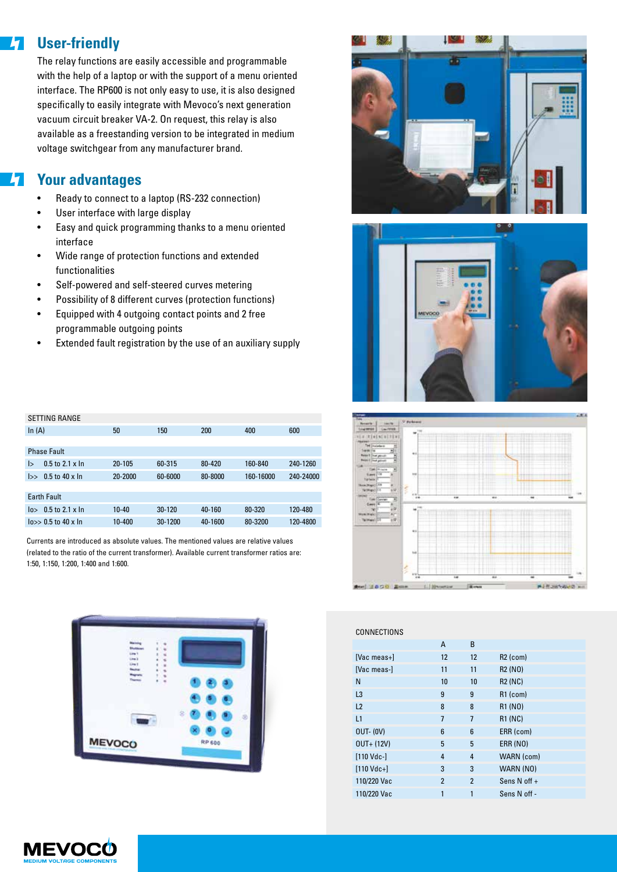#### **User-friendly**  $\overline{\mathbf{z}}$

The relay functions are easily accessible and programmable with the help of a laptop or with the support of a menu oriented interface. The RP600 is not only easy to use, it is also designed specifically to easily integrate with Mevoco's next generation vacuum circuit breaker VA-2. On request, this relay is also available as a freestanding version to be integrated in medium voltage switchgear from any manufacturer brand.

## **Your advantages**

- Ready to connect to a laptop (RS-232 connection)
- User interface with large display
- Easy and quick programming thanks to a menu oriented interface
- Wide range of protection functions and extended functionalities
- Self-powered and self-steered curves metering
- Possibility of 8 different curves (protection functions)
- Equipped with 4 outgoing contact points and 2 free programmable outgoing points
- Extended fault registration by the use of an auxiliary supply

| <b>SETTING RANGE</b> |                           |            |            |         |           |           |  |  |
|----------------------|---------------------------|------------|------------|---------|-----------|-----------|--|--|
| In $(A)$             |                           | 50         | 150        | 200     | 400       | 600       |  |  |
|                      |                           |            |            |         |           |           |  |  |
| <b>Phase Fault</b>   |                           |            |            |         |           |           |  |  |
| l>                   | $0.5$ to $2.1 \times \ln$ | $20 - 105$ | 60-315     | 80-420  | 160-840   | 240-1260  |  |  |
| $\rightarrow$        | $0.5$ to $40 \times \ln$  | 20-2000    | 60-6000    | 80-8000 | 160-16000 | 240-24000 |  |  |
|                      |                           |            |            |         |           |           |  |  |
| <b>Earth Fault</b>   |                           |            |            |         |           |           |  |  |
| 10 <sub>2</sub>      | $0.5$ to 2.1 x In         | $10 - 40$  | $30 - 120$ | 40-160  | 80-320    | 120-480   |  |  |
|                      | $\log$ 0.5 to 40 x In     | 10-400     | 30-1200    | 40-1600 | 80-3200   | 120-4800  |  |  |
|                      |                           |            |            |         |           |           |  |  |

Currents are introduced as absolute values. The mentioned values are relative values (related to the ratio of the current transformer). Available current transformer ratios are: 1:50, 1:150, 1:200, 1:400 and 1:600.









| CONNECTIONS          |                |                |                                  |
|----------------------|----------------|----------------|----------------------------------|
|                      | A              | B              |                                  |
| $[Vac meas+]$        | 12             | 12             | $R2$ (com)                       |
| [Vac meas-]          | 11             | 11             | R <sub>2</sub> (N <sub>O</sub> ) |
| N                    | 10             | 10             | <b>R2 (NC)</b>                   |
| L <sub>3</sub>       | 9              | 9              | $R1$ (com)                       |
| L2                   | 8              | 8              | R1 (NO)                          |
| L1                   | $\overline{1}$ | $\overline{1}$ | <b>R1 (NC)</b>                   |
| $OUT- (OV)$          | 6              | 6              | ERR (com)                        |
| $OUT + (12V)$        | 5              | 5              | <b>ERR (NO)</b>                  |
| $[110$ Vdc- $]$      | 4              | 4              | WARN (com)                       |
| $[110 \text{ Vdc+}]$ | 3              | 3              | WARN (NO)                        |
| 110/220 Vac          | $\overline{2}$ | $\overline{2}$ | Sens $N$ off +                   |
| 110/220 Vac          | 1              | 1              | Sens N off -                     |
|                      |                |                |                                  |

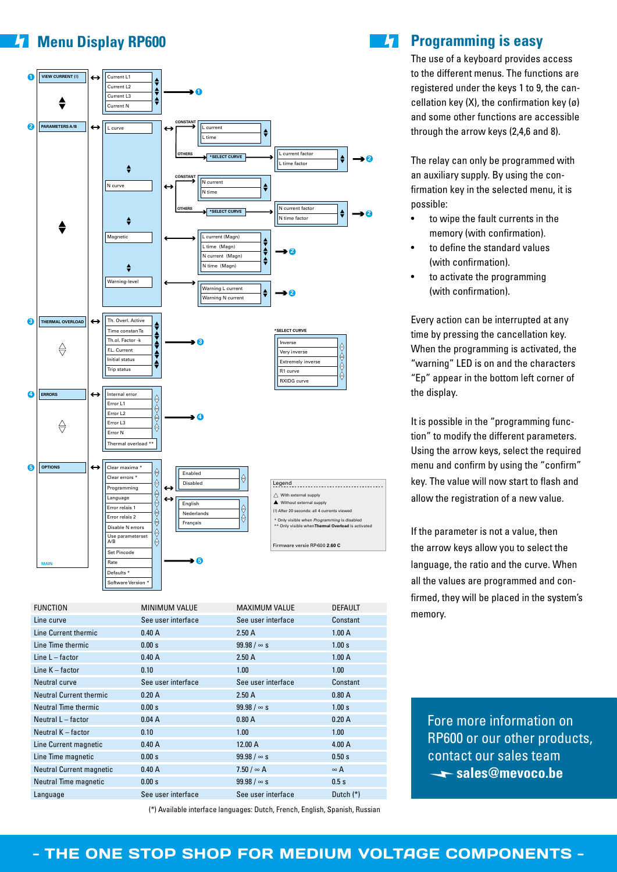# **Menu Display RP600**



| <b>FUNCTION</b>                 | <b>MINIMUM VALUE</b> | <b>MAXIMUM VALUE</b> | <b>DEFAULT</b> |
|---------------------------------|----------------------|----------------------|----------------|
| Line curve                      | See user interface   | See user interface   | Constant       |
| Line Current thermic            | 0.40A                | 2.50A                | 1.00A          |
| Line Time thermic               | 0.00 s               | 99.98 / $\infty$ s   | 1.00 s         |
| Line $L -$ factor               | 0.40A                | 2.50A                | 1.00A          |
| Line $K$ – factor               | 0.10                 | 1.00                 | 1.00           |
| Neutral curve                   | See user interface   | See user interface   | Constant       |
| <b>Neutral Current thermic</b>  | 0.20A                | 2.50A                | 0.80A          |
| Neutral Time thermic            | 0.00 s               | $99.98 / \infty s$   | 1.00 s         |
| Neutral L - factor              | 0.04A                | 0.80A                | 0.20A          |
| Neutral K - factor              | 0.10                 | 1.00                 | 1.00           |
| Line Current magnetic           | 0.40A                | 12.00 A              | 4.00 A         |
| Line Time magnetic              | 0.00 s               | 99.98 / $\infty$ s   | 0.50 s         |
| <b>Neutral Current magnetic</b> | 0.40A                | $7.50 / \infty$ A    | $\infty$ A     |
| Neutral Time magnetic           | 0.00 s               | 99.98 / $\infty$ s   | 0.5s           |
| Language                        | See user interface   | See user interface   | Dutch $(*)$    |
|                                 |                      |                      |                |

(\*) Available interface languages: Dutch, French, English, Spanish, Russian

# $H^+$

#### **Programming is easy**

The use of a keyboard provides access to the different menus. The functions are registered under the keys 1 to 9, the cancellation key (X), the confirmation key (ø) and some other functions are accessible through the arrow keys (2,4,6 and 8).

The relay can only be programmed with an auxiliary supply. By using the confirmation key in the selected menu, it is possible:

- to wipe the fault currents in the memory (with confirmation).
- to define the standard values (with confirmation).
- to activate the programming (with confirmation).

Every action can be interrupted at any time by pressing the cancellation key. When the programming is activated, the "warning" LED is on and the characters "Ep" appear in the bottom left corner of the display.

It is possible in the "programming function" to modify the different parameters. Using the arrow keys, select the required menu and confirm by using the "confirm" key. The value will now start to flash and allow the registration of a new value.

If the parameter is not a value, then the arrow keys allow you to select the language, the ratio and the curve. When all the values are programmed and confirmed, they will be placed in the system's memory.

Fore more information on RP600 or our other products, contact our sales team sales@mevoco.be

#### - THE ONE STOP SHOP FOR MEDIUM VOLTAGE COMPONENTS -